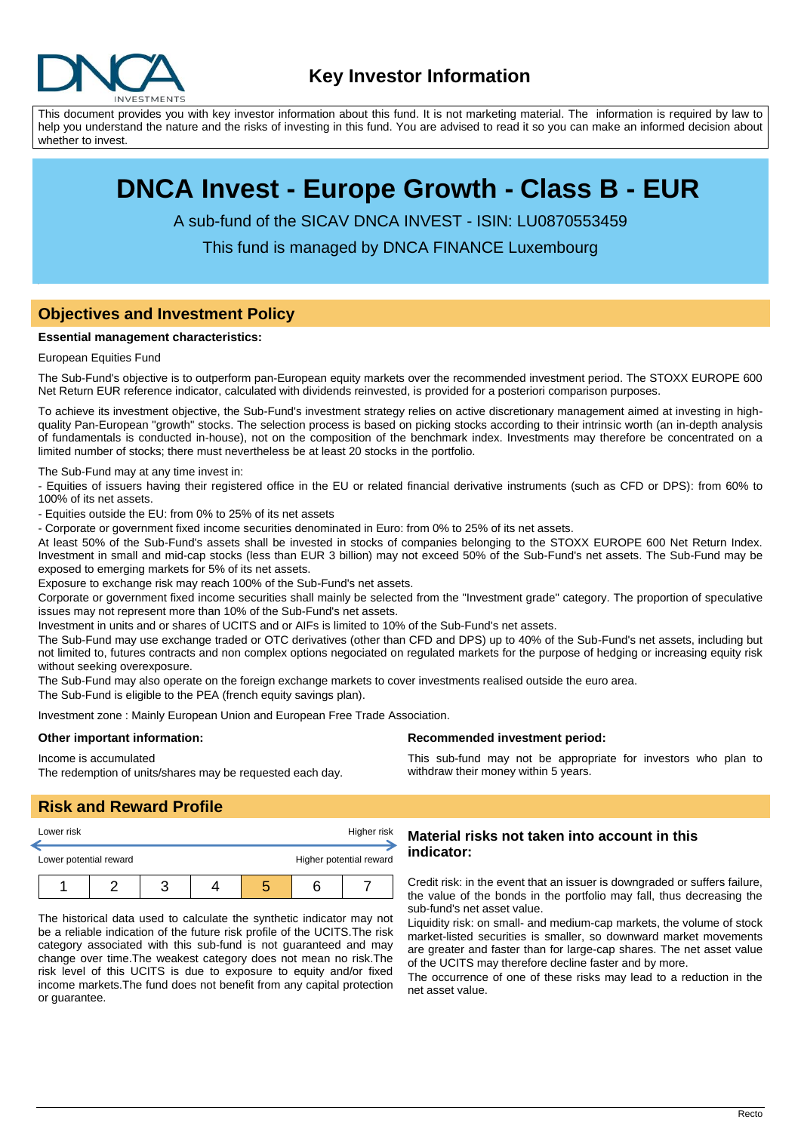

This document provides you with key investor information about this fund. It is not marketing material. The information is required by law to help you understand the nature and the risks of investing in this fund. You are advised to read it so you can make an informed decision about whether to invest.

# **DNCA Invest - Europe Growth - Class B - EUR**

A sub-fund of the SICAV DNCA INVEST - ISIN: LU0870553459

This fund is managed by DNCA FINANCE Luxembourg

## **Objectives and Investment Policy**

#### **Essential management characteristics:**

#### European Equities Fund

The Sub-Fund's objective is to outperform pan-European equity markets over the recommended investment period. The STOXX EUROPE 600 Net Return EUR reference indicator, calculated with dividends reinvested, is provided for a posteriori comparison purposes.

To achieve its investment objective, the Sub-Fund's investment strategy relies on active discretionary management aimed at investing in highquality Pan-European "growth" stocks. The selection process is based on picking stocks according to their intrinsic worth (an in-depth analysis of fundamentals is conducted in-house), not on the composition of the benchmark index. Investments may therefore be concentrated on a limited number of stocks; there must nevertheless be at least 20 stocks in the portfolio.

The Sub-Fund may at any time invest in:

- Equities of issuers having their registered office in the EU or related financial derivative instruments (such as CFD or DPS): from 60% to 100% of its net assets.

- Equities outside the EU: from 0% to 25% of its net assets

- Corporate or government fixed income securities denominated in Euro: from 0% to 25% of its net assets.

At least 50% of the Sub-Fund's assets shall be invested in stocks of companies belonging to the STOXX EUROPE 600 Net Return Index. Investment in small and mid-cap stocks (less than EUR 3 billion) may not exceed 50% of the Sub-Fund's net assets. The Sub-Fund may be exposed to emerging markets for 5% of its net assets.

Exposure to exchange risk may reach 100% of the Sub-Fund's net assets.

Corporate or government fixed income securities shall mainly be selected from the "Investment grade" category. The proportion of speculative issues may not represent more than 10% of the Sub-Fund's net assets.

Investment in units and or shares of UCITS and or AIFs is limited to 10% of the Sub-Fund's net assets.

The Sub-Fund may use exchange traded or OTC derivatives (other than CFD and DPS) up to 40% of the Sub-Fund's net assets, including but not limited to, futures contracts and non complex options negociated on regulated markets for the purpose of hedging or increasing equity risk without seeking overexposure.

The Sub-Fund may also operate on the foreign exchange markets to cover investments realised outside the euro area.

The Sub-Fund is eligible to the PEA (french equity savings plan).

Investment zone : Mainly European Union and European Free Trade Association.

#### **Other important information:**

Income is accumulated

The redemption of units/shares may be requested each day.

#### **Recommended investment period:**

This sub-fund may not be appropriate for investors who plan to withdraw their money within 5 years.

# **Risk and Reward Profile**

| Lower risk             |  | Higher risk |  |                         |  |
|------------------------|--|-------------|--|-------------------------|--|
| Lower potential reward |  |             |  | Higher potential reward |  |
|                        |  |             |  |                         |  |

The historical data used to calculate the synthetic indicator may not be a reliable indication of the future risk profile of the UCITS.The risk category associated with this sub-fund is not guaranteed and may change over time.The weakest category does not mean no risk.The risk level of this UCITS is due to exposure to equity and/or fixed income markets.The fund does not benefit from any capital protection or guarantee.

### **Material risks not taken into account in this indicator:**

Credit risk: in the event that an issuer is downgraded or suffers failure, the value of the bonds in the portfolio may fall, thus decreasing the sub-fund's net asset value.

Liquidity risk: on small- and medium-cap markets, the volume of stock market-listed securities is smaller, so downward market movements are greater and faster than for large-cap shares. The net asset value of the UCITS may therefore decline faster and by more.

The occurrence of one of these risks may lead to a reduction in the net asset value.